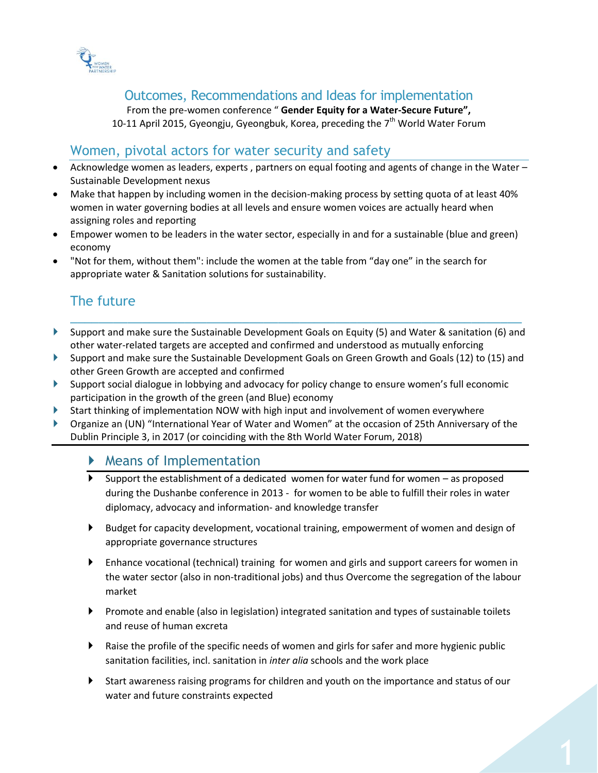

## Outcomes, Recommendations and Ideas for implementation

From the pre-women conference " **Gender Equity for a Water-Secure Future",** 10-11 April 2015, Gyeongju, Gyeongbuk, Korea, preceding the  $7<sup>th</sup>$  World Water Forum

## Women, pivotal actors for water security and safety

- Acknowledge women as leaders, experts , partners on equal footing and agents of change in the Water Sustainable Development nexus
- Make that happen by including women in the decision-making process by setting quota of at least 40% women in water governing bodies at all levels and ensure women voices are actually heard when assigning roles and reporting
- Empower women to be leaders in the water sector, especially in and for a sustainable (blue and green) economy
- "Not for them, without them": include the women at the table from "day one" in the search for appropriate water & Sanitation solutions for sustainability.

## The future

 Support and make sure the Sustainable Development Goals on Equity (5) and Water & sanitation (6) and other water-related targets are accepted and confirmed and understood as mutually enforcing

\_\_\_\_\_\_\_\_\_\_\_\_\_\_\_\_\_\_\_\_\_\_\_\_\_\_\_\_\_\_\_\_\_\_\_\_\_\_\_\_\_\_\_\_\_\_\_\_\_\_\_\_\_\_\_\_\_\_\_\_\_\_\_

- Support and make sure the Sustainable Development Goals on Green Growth and Goals (12) to (15) and other Green Growth are accepted and confirmed
- Support social dialogue in lobbying and advocacy for policy change to ensure women's full economic participation in the growth of the green (and Blue) economy
- Start thinking of implementation NOW with high input and involvement of women everywhere
- Organize an (UN) "International Year of Water and Women" at the occasion of 25th Anniversary of the Dublin Principle 3, in 2017 (or coinciding with the 8th World Water Forum, 2018)

## Means of Implementation

- $\blacktriangleright$  Support the establishment of a dedicated women for water fund for women as proposed during the Dushanbe conference in 2013 - for women to be able to fulfill their roles in water diplomacy, advocacy and information- and knowledge transfer
- Budget for capacity development, vocational training, empowerment of women and design of appropriate governance structures
- Enhance vocational (technical) training for women and girls and support careers for women in the water sector (also in non-traditional jobs) and thus Overcome the segregation of the labour market
- Promote and enable (also in legislation) integrated sanitation and types of sustainable toilets and reuse of human excreta
- Raise the profile of the specific needs of women and girls for safer and more hygienic public sanitation facilities, incl. sanitation in *inter alia* schools and the work place
- Start awareness raising programs for children and youth on the importance and status of our water and future constraints expected